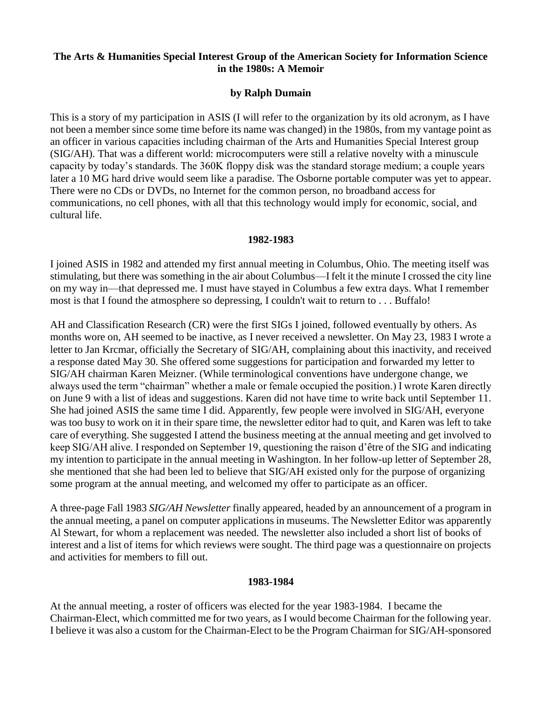# **The Arts & Humanities Special Interest Group of the American Society for Information Science in the 1980s: A Memoir**

# **by Ralph Dumain**

This is a story of my participation in ASIS (I will refer to the organization by its old acronym, as I have not been a member since some time before its name was changed) in the 1980s, from my vantage point as an officer in various capacities including chairman of the Arts and Humanities Special Interest group (SIG/AH). That was a different world: microcomputers were still a relative novelty with a minuscule capacity by today's standards. The 360K floppy disk was the standard storage medium; a couple years later a 10 MG hard drive would seem like a paradise. The Osborne portable computer was yet to appear. There were no CDs or DVDs, no Internet for the common person, no broadband access for communications, no cell phones, with all that this technology would imply for economic, social, and cultural life.

### **1982-1983**

I joined ASIS in 1982 and attended my first annual meeting in Columbus, Ohio. The meeting itself was stimulating, but there was something in the air about Columbus—I felt it the minute I crossed the city line on my way in—that depressed me. I must have stayed in Columbus a few extra days. What I remember most is that I found the atmosphere so depressing, I couldn't wait to return to . . . Buffalo!

AH and Classification Research (CR) were the first SIGs I joined, followed eventually by others. As months wore on, AH seemed to be inactive, as I never received a newsletter. On May 23, 1983 I wrote a letter to Jan Krcmar, officially the Secretary of SIG/AH, complaining about this inactivity, and received a response dated May 30. She offered some suggestions for participation and forwarded my letter to SIG/AH chairman Karen Meizner. (While terminological conventions have undergone change, we always used the term "chairman" whether a male or female occupied the position.) I wrote Karen directly on June 9 with a list of ideas and suggestions. Karen did not have time to write back until September 11. She had joined ASIS the same time I did. Apparently, few people were involved in SIG/AH, everyone was too busy to work on it in their spare time, the newsletter editor had to quit, and Karen was left to take care of everything. She suggested I attend the business meeting at the annual meeting and get involved to keep SIG/AH alive. I responded on September 19, questioning the raison d'être of the SIG and indicating my intention to participate in the annual meeting in Washington. In her follow-up letter of September 28, she mentioned that she had been led to believe that SIG/AH existed only for the purpose of organizing some program at the annual meeting, and welcomed my offer to participate as an officer.

A three-page Fall 1983 *SIG/AH Newsletter* finally appeared, headed by an announcement of a program in the annual meeting, a panel on computer applications in museums. The Newsletter Editor was apparently Al Stewart, for whom a replacement was needed. The newsletter also included a short list of books of interest and a list of items for which reviews were sought. The third page was a questionnaire on projects and activities for members to fill out.

#### **1983-1984**

At the annual meeting, a roster of officers was elected for the year 1983-1984. I became the Chairman-Elect, which committed me for two years, as I would become Chairman for the following year. I believe it was also a custom for the Chairman-Elect to be the Program Chairman for SIG/AH-sponsored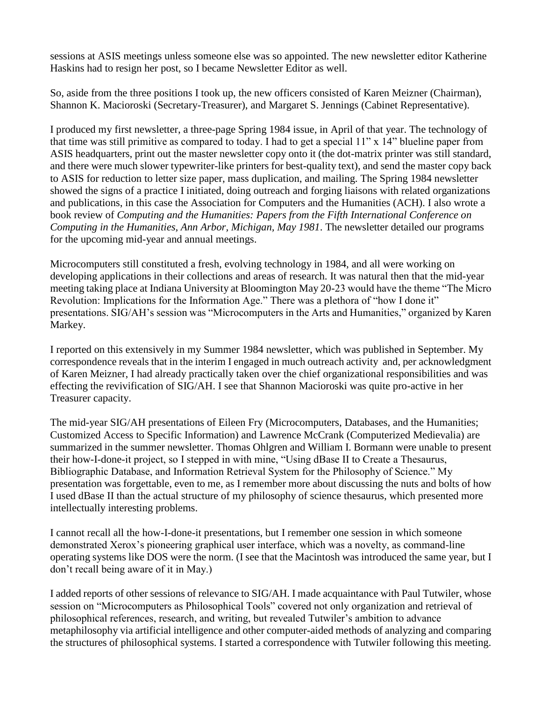sessions at ASIS meetings unless someone else was so appointed. The new newsletter editor Katherine Haskins had to resign her post, so I became Newsletter Editor as well.

So, aside from the three positions I took up, the new officers consisted of Karen Meizner (Chairman), Shannon K. Macioroski (Secretary-Treasurer), and Margaret S. Jennings (Cabinet Representative).

I produced my first newsletter, a three-page Spring 1984 issue, in April of that year. The technology of that time was still primitive as compared to today. I had to get a special 11" x 14" blueline paper from ASIS headquarters, print out the master newsletter copy onto it (the dot-matrix printer was still standard, and there were much slower typewriter-like printers for best-quality text), and send the master copy back to ASIS for reduction to letter size paper, mass duplication, and mailing. The Spring 1984 newsletter showed the signs of a practice I initiated, doing outreach and forging liaisons with related organizations and publications, in this case the Association for Computers and the Humanities (ACH). I also wrote a book review of *Computing and the Humanities: Papers from the Fifth International Conference on Computing in the Humanities, Ann Arbor, Michigan, May 1981*. The newsletter detailed our programs for the upcoming mid-year and annual meetings.

Microcomputers still constituted a fresh, evolving technology in 1984, and all were working on developing applications in their collections and areas of research. It was natural then that the mid-year meeting taking place at Indiana University at Bloomington May 20-23 would have the theme "The Micro Revolution: Implications for the Information Age." There was a plethora of "how I done it" presentations. SIG/AH's session was "Microcomputers in the Arts and Humanities," organized by Karen Markey.

I reported on this extensively in my Summer 1984 newsletter, which was published in September. My correspondence reveals that in the interim I engaged in much outreach activity and, per acknowledgment of Karen Meizner, I had already practically taken over the chief organizational responsibilities and was effecting the revivification of SIG/AH. I see that Shannon Macioroski was quite pro-active in her Treasurer capacity.

The mid-year SIG/AH presentations of Eileen Fry (Microcomputers, Databases, and the Humanities; Customized Access to Specific Information) and Lawrence McCrank (Computerized Medievalia) are summarized in the summer newsletter. Thomas Ohlgren and William I. Bormann were unable to present their how-I-done-it project, so I stepped in with mine, "Using dBase II to Create a Thesaurus, Bibliographic Database, and Information Retrieval System for the Philosophy of Science." My presentation was forgettable, even to me, as I remember more about discussing the nuts and bolts of how I used dBase II than the actual structure of my philosophy of science thesaurus, which presented more intellectually interesting problems.

I cannot recall all the how-I-done-it presentations, but I remember one session in which someone demonstrated Xerox's pioneering graphical user interface, which was a novelty, as command-line operating systems like DOS were the norm. (I see that the Macintosh was introduced the same year, but I don't recall being aware of it in May.)

I added reports of other sessions of relevance to SIG/AH. I made acquaintance with Paul Tutwiler, whose session on "Microcomputers as Philosophical Tools" covered not only organization and retrieval of philosophical references, research, and writing, but revealed Tutwiler's ambition to advance metaphilosophy via artificial intelligence and other computer-aided methods of analyzing and comparing the structures of philosophical systems. I started a correspondence with Tutwiler following this meeting.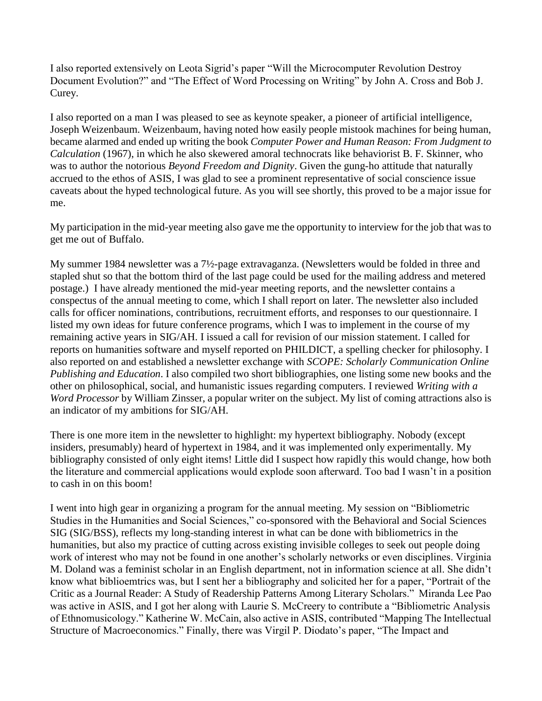I also reported extensively on Leota Sigrid's paper "Will the Microcomputer Revolution Destroy Document Evolution?" and "The Effect of Word Processing on Writing" by John A. Cross and Bob J. Curey.

I also reported on a man I was pleased to see as keynote speaker, a pioneer of artificial intelligence, Joseph Weizenbaum. Weizenbaum, having noted how easily people mistook machines for being human, became alarmed and ended up writing the book *Computer Power and Human Reason: From Judgment to Calculation* (1967), in which he also skewered amoral technocrats like behaviorist B. F. Skinner, who was to author the notorious *Beyond Freedom and Dignity*. Given the gung-ho attitude that naturally accrued to the ethos of ASIS, I was glad to see a prominent representative of social conscience issue caveats about the hyped technological future. As you will see shortly, this proved to be a major issue for me.

My participation in the mid-year meeting also gave me the opportunity to interview for the job that was to get me out of Buffalo.

My summer 1984 newsletter was a 7½-page extravaganza. (Newsletters would be folded in three and stapled shut so that the bottom third of the last page could be used for the mailing address and metered postage.) I have already mentioned the mid-year meeting reports, and the newsletter contains a conspectus of the annual meeting to come, which I shall report on later. The newsletter also included calls for officer nominations, contributions, recruitment efforts, and responses to our questionnaire. I listed my own ideas for future conference programs, which I was to implement in the course of my remaining active years in SIG/AH. I issued a call for revision of our mission statement. I called for reports on humanities software and myself reported on PHILDICT, a spelling checker for philosophy. I also reported on and established a newsletter exchange with *SCOPE: Scholarly Communication Online Publishing and Education*. I also compiled two short bibliographies, one listing some new books and the other on philosophical, social, and humanistic issues regarding computers. I reviewed *Writing with a Word Processor* by William Zinsser, a popular writer on the subject. My list of coming attractions also is an indicator of my ambitions for SIG/AH.

There is one more item in the newsletter to highlight: my hypertext bibliography. Nobody (except insiders, presumably) heard of hypertext in 1984, and it was implemented only experimentally. My bibliography consisted of only eight items! Little did I suspect how rapidly this would change, how both the literature and commercial applications would explode soon afterward. Too bad I wasn't in a position to cash in on this boom!

I went into high gear in organizing a program for the annual meeting. My session on "Bibliometric Studies in the Humanities and Social Sciences," co-sponsored with the Behavioral and Social Sciences SIG (SIG/BSS), reflects my long-standing interest in what can be done with bibliometrics in the humanities, but also my practice of cutting across existing invisible colleges to seek out people doing work of interest who may not be found in one another's scholarly networks or even disciplines. Virginia M. Doland was a feminist scholar in an English department, not in information science at all. She didn't know what biblioemtrics was, but I sent her a bibliography and solicited her for a paper, "Portrait of the Critic as a Journal Reader: A Study of Readership Patterns Among Literary Scholars." Miranda Lee Pao was active in ASIS, and I got her along with Laurie S. McCreery to contribute a "Bibliometric Analysis of Ethnomusicology." Katherine W. McCain, also active in ASIS, contributed "Mapping The Intellectual Structure of Macroeconomics." Finally, there was Virgil P. Diodato's paper, "The Impact and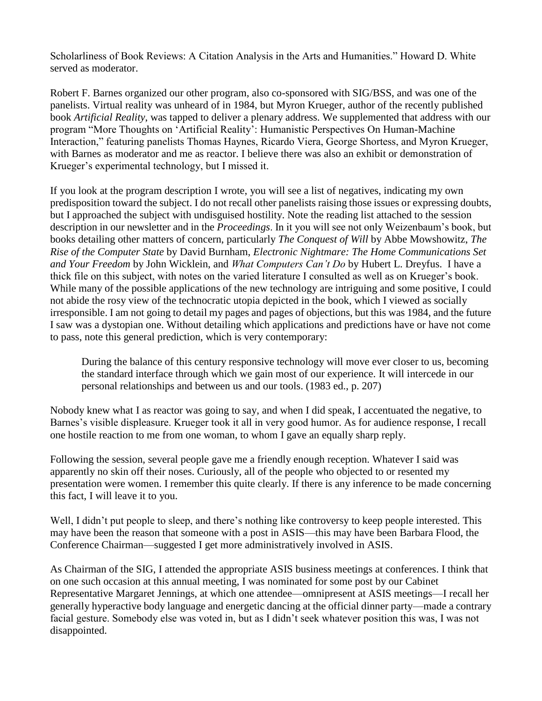Scholarliness of Book Reviews: A Citation Analysis in the Arts and Humanities." Howard D. White served as moderator.

Robert F. Barnes organized our other program, also co-sponsored with SIG/BSS, and was one of the panelists. Virtual reality was unheard of in 1984, but Myron Krueger, author of the recently published book *Artificial Reality*, was tapped to deliver a plenary address. We supplemented that address with our program "More Thoughts on 'Artificial Reality': Humanistic Perspectives On Human-Machine Interaction," featuring panelists Thomas Haynes, Ricardo Viera, George Shortess, and Myron Krueger, with Barnes as moderator and me as reactor. I believe there was also an exhibit or demonstration of Krueger's experimental technology, but I missed it.

If you look at the program description I wrote, you will see a list of negatives, indicating my own predisposition toward the subject. I do not recall other panelists raising those issues or expressing doubts, but I approached the subject with undisguised hostility. Note the reading list attached to the session description in our newsletter and in the *Proceedings*. In it you will see not only Weizenbaum's book, but books detailing other matters of concern, particularly *The Conquest of Will* by Abbe Mowshowitz, *The Rise of the Computer State* by David Burnham, *Electronic Nightmare: The Home Communications Set and Your Freedom* by John Wicklein, and *What Computers Can't Do* by Hubert L. Dreyfus. I have a thick file on this subject, with notes on the varied literature I consulted as well as on Krueger's book. While many of the possible applications of the new technology are intriguing and some positive, I could not abide the rosy view of the technocratic utopia depicted in the book, which I viewed as socially irresponsible. I am not going to detail my pages and pages of objections, but this was 1984, and the future I saw was a dystopian one. Without detailing which applications and predictions have or have not come to pass, note this general prediction, which is very contemporary:

During the balance of this century responsive technology will move ever closer to us, becoming the standard interface through which we gain most of our experience. It will intercede in our personal relationships and between us and our tools. (1983 ed., p. 207)

Nobody knew what I as reactor was going to say, and when I did speak, I accentuated the negative, to Barnes's visible displeasure. Krueger took it all in very good humor. As for audience response, I recall one hostile reaction to me from one woman, to whom I gave an equally sharp reply.

Following the session, several people gave me a friendly enough reception. Whatever I said was apparently no skin off their noses. Curiously, all of the people who objected to or resented my presentation were women. I remember this quite clearly. If there is any inference to be made concerning this fact, I will leave it to you.

Well, I didn't put people to sleep, and there's nothing like controversy to keep people interested. This may have been the reason that someone with a post in ASIS—this may have been Barbara Flood, the Conference Chairman—suggested I get more administratively involved in ASIS.

As Chairman of the SIG, I attended the appropriate ASIS business meetings at conferences. I think that on one such occasion at this annual meeting, I was nominated for some post by our Cabinet Representative Margaret Jennings, at which one attendee—omnipresent at ASIS meetings—I recall her generally hyperactive body language and energetic dancing at the official dinner party—made a contrary facial gesture. Somebody else was voted in, but as I didn't seek whatever position this was, I was not disappointed.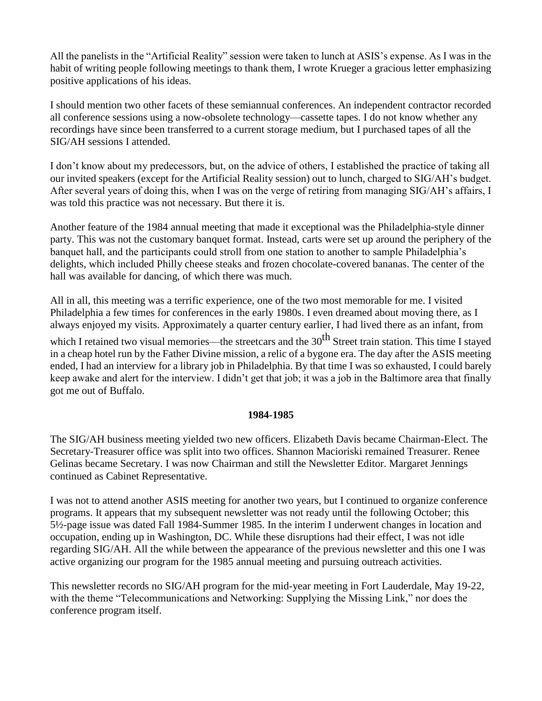All the panelists in the "Artificial Reality" session were taken to lunch at ASIS's expense. As I was in the habit of writing people following meetings to thank them, I wrote Krueger a gracious letter emphasizing positive applications of his ideas.

I should mention two other facets of these semiannual conferences. An independent contractor recorded all conference sessions using a now-obsolete technology—cassette tapes. I do not know whether any recordings have since been transferred to a current storage medium, but I purchased tapes of all the SIG/AH sessions I attended.

I don't know about my predecessors, but, on the advice of others, I established the practice of taking all our invited speakers (except for the Artificial Reality session) out to lunch, charged to SIG/AH's budget. After several years of doing this, when I was on the verge of retiring from managing SIG/AH's affairs, I was told this practice was not necessary. But there it is.

Another feature of the 1984 annual meeting that made it exceptional was the Philadelphia-style dinner party. This was not the customary banquet format. Instead, carts were set up around the periphery of the banquet hall, and the participants could stroll from one station to another to sample Philadelphia's delights, which included Philly cheese steaks and frozen chocolate-covered bananas. The center of the hall was available for dancing, of which there was much.

All in all, this meeting was a terrific experience, one of the two most memorable for me. I visited Philadelphia a few times for conferences in the early 1980s. I even dreamed about moving there, as I always enjoyed my visits. Approximately a quarter century earlier, I had lived there as an infant, from

which I retained two visual memories—the streetcars and the  $30<sup>th</sup>$  Street train station. This time I stayed in a cheap hotel run by the Father Divine mission, a relic of a bygone era. The day after the ASIS meeting ended, I had an interview for a library job in Philadelphia. By that time I was so exhausted, I could barely keep awake and alert for the interview. I didn't get that job; it was a job in the Baltimore area that finally got me out of Buffalo.

#### **1984-1985**

The SIG/AH business meeting yielded two new officers. Elizabeth Davis became Chairman-Elect. The Secretary-Treasurer office was split into two offices. Shannon Macioriski remained Treasurer. Renee Gelinas became Secretary. I was now Chairman and still the Newsletter Editor. Margaret Jennings continued as Cabinet Representative.

I was not to attend another ASIS meeting for another two years, but I continued to organize conference programs. It appears that my subsequent newsletter was not ready until the following October; this 5½-page issue was dated Fall 1984-Summer 1985. In the interim I underwent changes in location and occupation, ending up in Washington, DC. While these disruptions had their effect, I was not idle regarding SIG/AH. All the while between the appearance of the previous newsletter and this one I was active organizing our program for the 1985 annual meeting and pursuing outreach activities.

This newsletter records no SIG/AH program for the mid-year meeting in Fort Lauderdale, May 19-22, with the theme "Telecommunications and Networking: Supplying the Missing Link," nor does the conference program itself.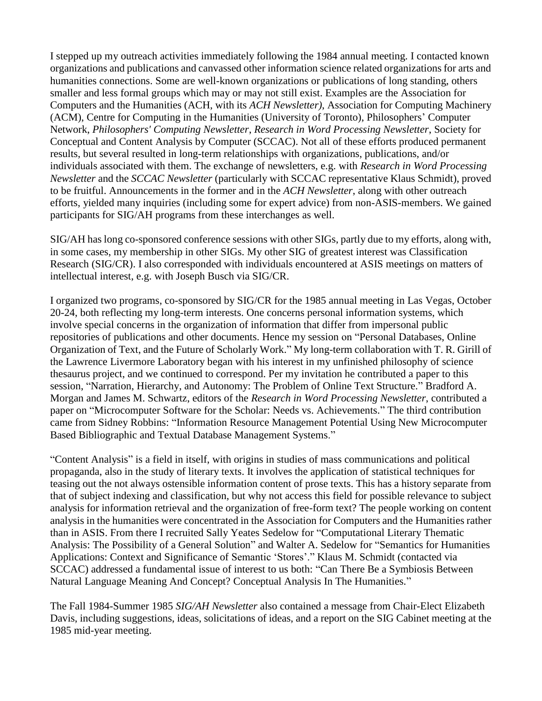I stepped up my outreach activities immediately following the 1984 annual meeting. I contacted known organizations and publications and canvassed other information science related organizations for arts and humanities connections. Some are well-known organizations or publications of long standing, others smaller and less formal groups which may or may not still exist. Examples are the Association for Computers and the Humanities (ACH, with its *ACH Newsletter)*, Association for Computing Machinery (ACM), Centre for Computing in the Humanities (University of Toronto), Philosophers' Computer Network, *Philosophers' Computing Newsletter*, *Research in Word Processing Newsletter*, Society for Conceptual and Content Analysis by Computer (SCCAC). Not all of these efforts produced permanent results, but several resulted in long-term relationships with organizations, publications, and/or individuals associated with them. The exchange of newsletters, e.g. with *Research in Word Processing Newsletter* and the *SCCAC Newsletter* (particularly with SCCAC representative Klaus Schmidt), proved to be fruitful. Announcements in the former and in the *ACH Newsletter*, along with other outreach efforts, yielded many inquiries (including some for expert advice) from non-ASIS-members. We gained participants for SIG/AH programs from these interchanges as well.

SIG/AH has long co-sponsored conference sessions with other SIGs, partly due to my efforts, along with, in some cases, my membership in other SIGs. My other SIG of greatest interest was Classification Research (SIG/CR). I also corresponded with individuals encountered at ASIS meetings on matters of intellectual interest, e.g. with Joseph Busch via SIG/CR.

I organized two programs, co-sponsored by SIG/CR for the 1985 annual meeting in Las Vegas, October 20-24, both reflecting my long-term interests. One concerns personal information systems, which involve special concerns in the organization of information that differ from impersonal public repositories of publications and other documents. Hence my session on "Personal Databases, Online Organization of Text, and the Future of Scholarly Work." My long-term collaboration with T. R. Girill of the Lawrence Livermore Laboratory began with his interest in my unfinished philosophy of science thesaurus project, and we continued to correspond. Per my invitation he contributed a paper to this session, "Narration, Hierarchy, and Autonomy: The Problem of Online Text Structure." Bradford A. Morgan and James M. Schwartz, editors of the *Research in Word Processing Newsletter*, contributed a paper on "Microcomputer Software for the Scholar: Needs vs. Achievements." The third contribution came from Sidney Robbins: "Information Resource Management Potential Using New Microcomputer Based Bibliographic and Textual Database Management Systems."

"Content Analysis" is a field in itself, with origins in studies of mass communications and political propaganda, also in the study of literary texts. It involves the application of statistical techniques for teasing out the not always ostensible information content of prose texts. This has a history separate from that of subject indexing and classification, but why not access this field for possible relevance to subject analysis for information retrieval and the organization of free-form text? The people working on content analysis in the humanities were concentrated in the Association for Computers and the Humanities rather than in ASIS. From there I recruited Sally Yeates Sedelow for "Computational Literary Thematic Analysis: The Possibility of a General Solution" and Walter A. Sedelow for "Semantics for Humanities Applications: Context and Significance of Semantic 'Stores'." Klaus M. Schmidt (contacted via SCCAC) addressed a fundamental issue of interest to us both: "Can There Be a Symbiosis Between Natural Language Meaning And Concept? Conceptual Analysis In The Humanities."

The Fall 1984-Summer 1985 *SIG/AH Newsletter* also contained a message from Chair-Elect Elizabeth Davis, including suggestions, ideas, solicitations of ideas, and a report on the SIG Cabinet meeting at the 1985 mid-year meeting.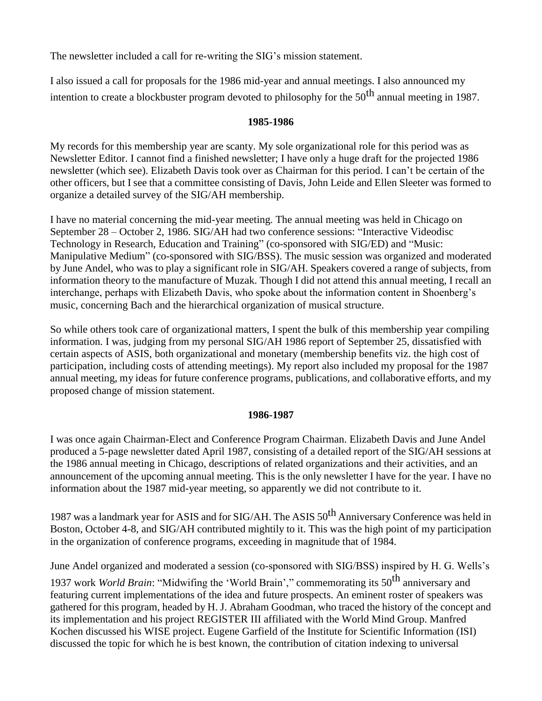The newsletter included a call for re-writing the SIG's mission statement.

I also issued a call for proposals for the 1986 mid-year and annual meetings. I also announced my intention to create a blockbuster program devoted to philosophy for the  $50<sup>th</sup>$  annual meeting in 1987.

## **1985-1986**

My records for this membership year are scanty. My sole organizational role for this period was as Newsletter Editor. I cannot find a finished newsletter; I have only a huge draft for the projected 1986 newsletter (which see). Elizabeth Davis took over as Chairman for this period. I can't be certain of the other officers, but I see that a committee consisting of Davis, John Leide and Ellen Sleeter was formed to organize a detailed survey of the SIG/AH membership.

I have no material concerning the mid-year meeting. The annual meeting was held in Chicago on September 28 – October 2, 1986. SIG/AH had two conference sessions: "Interactive Videodisc Technology in Research, Education and Training" (co-sponsored with SIG/ED) and "Music: Manipulative Medium" (co-sponsored with SIG/BSS). The music session was organized and moderated by June Andel, who was to play a significant role in SIG/AH. Speakers covered a range of subjects, from information theory to the manufacture of Muzak. Though I did not attend this annual meeting, I recall an interchange, perhaps with Elizabeth Davis, who spoke about the information content in Shoenberg's music, concerning Bach and the hierarchical organization of musical structure.

So while others took care of organizational matters, I spent the bulk of this membership year compiling information. I was, judging from my personal SIG/AH 1986 report of September 25, dissatisfied with certain aspects of ASIS, both organizational and monetary (membership benefits viz. the high cost of participation, including costs of attending meetings). My report also included my proposal for the 1987 annual meeting, my ideas for future conference programs, publications, and collaborative efforts, and my proposed change of mission statement.

## **1986-1987**

I was once again Chairman-Elect and Conference Program Chairman. Elizabeth Davis and June Andel produced a 5-page newsletter dated April 1987, consisting of a detailed report of the SIG/AH sessions at the 1986 annual meeting in Chicago, descriptions of related organizations and their activities, and an announcement of the upcoming annual meeting. This is the only newsletter I have for the year. I have no information about the 1987 mid-year meeting, so apparently we did not contribute to it.

1987 was a landmark year for ASIS and for  $SIG/AH$ . The ASIS  $50<sup>th</sup>$  Anniversary Conference was held in Boston, October 4-8, and SIG/AH contributed mightily to it. This was the high point of my participation in the organization of conference programs, exceeding in magnitude that of 1984.

June Andel organized and moderated a session (co-sponsored with SIG/BSS) inspired by H. G. Wells's

1937 work *World Brain*: "Midwifing the 'World Brain'," commemorating its 50th anniversary and featuring current implementations of the idea and future prospects. An eminent roster of speakers was gathered for this program, headed by H. J. Abraham Goodman, who traced the history of the concept and its implementation and his project REGISTER III affiliated with the World Mind Group. Manfred Kochen discussed his WISE project. Eugene Garfield of the Institute for Scientific Information (ISI) discussed the topic for which he is best known, the contribution of citation indexing to universal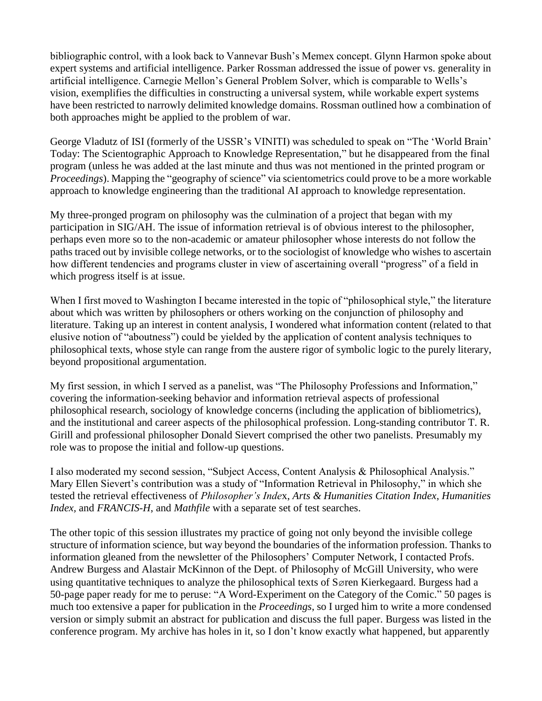bibliographic control, with a look back to Vannevar Bush's Memex concept. Glynn Harmon spoke about expert systems and artificial intelligence. Parker Rossman addressed the issue of power vs. generality in artificial intelligence. Carnegie Mellon's General Problem Solver, which is comparable to Wells's vision, exemplifies the difficulties in constructing a universal system, while workable expert systems have been restricted to narrowly delimited knowledge domains. Rossman outlined how a combination of both approaches might be applied to the problem of war.

George Vladutz of ISI (formerly of the USSR's VINITI) was scheduled to speak on "The 'World Brain' Today: The Scientographic Approach to Knowledge Representation," but he disappeared from the final program (unless he was added at the last minute and thus was not mentioned in the printed program or *Proceedings*). Mapping the "geography of science" via scientometrics could prove to be a more workable approach to knowledge engineering than the traditional AI approach to knowledge representation.

My three-pronged program on philosophy was the culmination of a project that began with my participation in SIG/AH. The issue of information retrieval is of obvious interest to the philosopher, perhaps even more so to the non-academic or amateur philosopher whose interests do not follow the paths traced out by invisible college networks, or to the sociologist of knowledge who wishes to ascertain how different tendencies and programs cluster in view of ascertaining overall "progress" of a field in which progress itself is at issue.

When I first moved to Washington I became interested in the topic of "philosophical style," the literature about which was written by philosophers or others working on the conjunction of philosophy and literature. Taking up an interest in content analysis, I wondered what information content (related to that elusive notion of "aboutness") could be yielded by the application of content analysis techniques to philosophical texts, whose style can range from the austere rigor of symbolic logic to the purely literary, beyond propositional argumentation.

My first session, in which I served as a panelist, was "The Philosophy Professions and Information," covering the information-seeking behavior and information retrieval aspects of professional philosophical research, sociology of knowledge concerns (including the application of bibliometrics), and the institutional and career aspects of the philosophical profession. Long-standing contributor T. R. Girill and professional philosopher Donald Sievert comprised the other two panelists. Presumably my role was to propose the initial and follow-up questions.

I also moderated my second session, "Subject Access, Content Analysis & Philosophical Analysis." Mary Ellen Sievert's contribution was a study of "Information Retrieval in Philosophy," in which she tested the retrieval effectiveness of *Philosopher's Inde*x, *Arts & Humanities Citation Index*, *Humanities Index,* and *FRANCIS-H*, and *Mathfile* with a separate set of test searches.

The other topic of this session illustrates my practice of going not only beyond the invisible college structure of information science, but way beyond the boundaries of the information profession. Thanks to information gleaned from the newsletter of the Philosophers' Computer Network, I contacted Profs. Andrew Burgess and Alastair McKinnon of the Dept. of Philosophy of McGill University, who were using quantitative techniques to analyze the philosophical texts of Søren Kierkegaard. Burgess had a 50-page paper ready for me to peruse: "A Word-Experiment on the Category of the Comic." 50 pages is much too extensive a paper for publication in the *Proceedings*, so I urged him to write a more condensed version or simply submit an abstract for publication and discuss the full paper. Burgess was listed in the conference program. My archive has holes in it, so I don't know exactly what happened, but apparently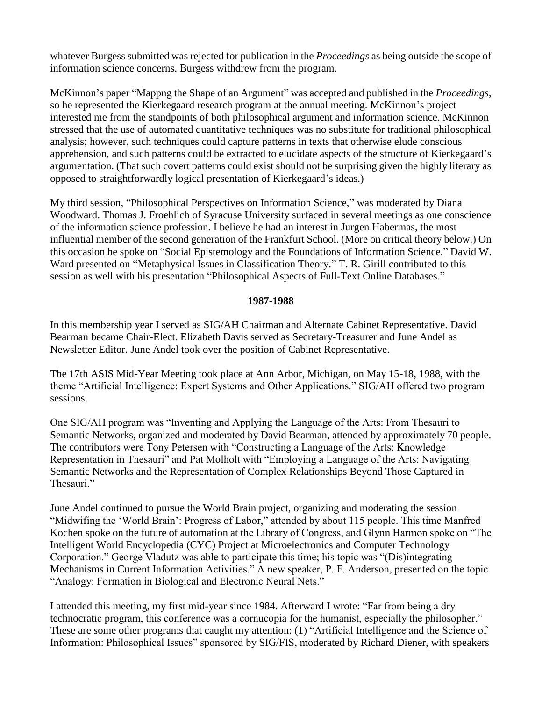whatever Burgess submitted was rejected for publication in the *Proceedings* as being outside the scope of information science concerns. Burgess withdrew from the program.

McKinnon's paper "Mappng the Shape of an Argument" was accepted and published in the *Proceedings*, so he represented the Kierkegaard research program at the annual meeting. McKinnon's project interested me from the standpoints of both philosophical argument and information science. McKinnon stressed that the use of automated quantitative techniques was no substitute for traditional philosophical analysis; however, such techniques could capture patterns in texts that otherwise elude conscious apprehension, and such patterns could be extracted to elucidate aspects of the structure of Kierkegaard's argumentation. (That such covert patterns could exist should not be surprising given the highly literary as opposed to straightforwardly logical presentation of Kierkegaard's ideas.)

My third session, "Philosophical Perspectives on Information Science," was moderated by Diana Woodward. Thomas J. Froehlich of Syracuse University surfaced in several meetings as one conscience of the information science profession. I believe he had an interest in Jurgen Habermas, the most influential member of the second generation of the Frankfurt School. (More on critical theory below.) On this occasion he spoke on "Social Epistemology and the Foundations of Information Science." David W. Ward presented on "Metaphysical Issues in Classification Theory." T. R. Girill contributed to this session as well with his presentation "Philosophical Aspects of Full-Text Online Databases."

## **1987-1988**

In this membership year I served as SIG/AH Chairman and Alternate Cabinet Representative. David Bearman became Chair-Elect. Elizabeth Davis served as Secretary-Treasurer and June Andel as Newsletter Editor. June Andel took over the position of Cabinet Representative.

The 17th ASIS Mid-Year Meeting took place at Ann Arbor, Michigan, on May 15-18, 1988, with the theme "Artificial Intelligence: Expert Systems and Other Applications." SIG/AH offered two program sessions.

One SIG/AH program was "Inventing and Applying the Language of the Arts: From Thesauri to Semantic Networks, organized and moderated by David Bearman, attended by approximately 70 people. The contributors were Tony Petersen with "Constructing a Language of the Arts: Knowledge Representation in Thesauri" and Pat Molholt with "Employing a Language of the Arts: Navigating Semantic Networks and the Representation of Complex Relationships Beyond Those Captured in Thesauri<sup>"</sup>

June Andel continued to pursue the World Brain project, organizing and moderating the session "Midwifing the 'World Brain': Progress of Labor," attended by about 115 people. This time Manfred Kochen spoke on the future of automation at the Library of Congress, and Glynn Harmon spoke on "The Intelligent World Encyclopedia (CYC) Project at Microelectronics and Computer Technology Corporation." George Vladutz was able to participate this time; his topic was "(Dis)integrating Mechanisms in Current Information Activities." A new speaker, P. F. Anderson, presented on the topic "Analogy: Formation in Biological and Electronic Neural Nets."

I attended this meeting, my first mid-year since 1984. Afterward I wrote: "Far from being a dry technocratic program, this conference was a cornucopia for the humanist, especially the philosopher." These are some other programs that caught my attention: (1) "Artificial Intelligence and the Science of Information: Philosophical Issues" sponsored by SIG/FIS, moderated by Richard Diener, with speakers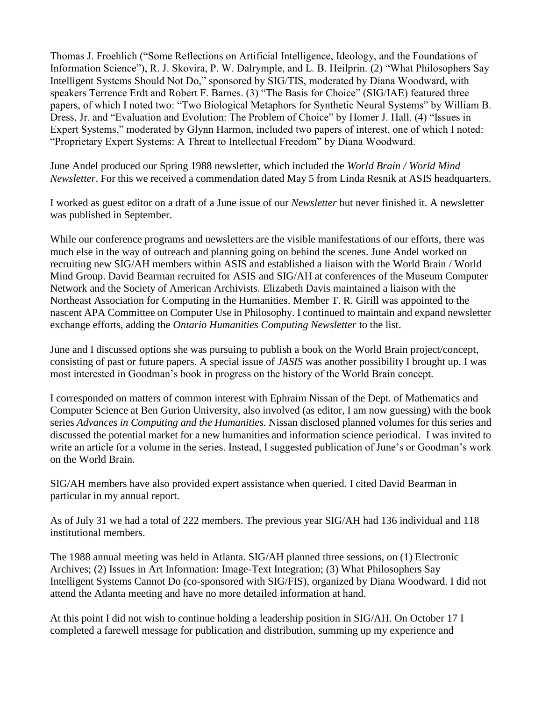Thomas J. Froehlich ("Some Reflections on Artificial Intelligence, Ideology, and the Foundations of Information Science"), R. J. Skovira, P. W. Dalrymple, and L. B. Heilprin. (2) "What Philosophers Say Intelligent Systems Should Not Do," sponsored by SIG/TIS, moderated by Diana Woodward, with speakers Terrence Erdt and Robert F. Barnes. (3) "The Basis for Choice" (SIG/IAE) featured three papers, of which I noted two: "Two Biological Metaphors for Synthetic Neural Systems" by William B. Dress, Jr. and "Evaluation and Evolution: The Problem of Choice" by Homer J. Hall. (4) "Issues in Expert Systems," moderated by Glynn Harmon, included two papers of interest, one of which I noted: "Proprietary Expert Systems: A Threat to Intellectual Freedom" by Diana Woodward.

June Andel produced our Spring 1988 newsletter, which included the *World Brain / World Mind Newsletter*. For this we received a commendation dated May 5 from Linda Resnik at ASIS headquarters.

I worked as guest editor on a draft of a June issue of our *Newsletter* but never finished it. A newsletter was published in September.

While our conference programs and newsletters are the visible manifestations of our efforts, there was much else in the way of outreach and planning going on behind the scenes. June Andel worked on recruiting new SIG/AH members within ASIS and established a liaison with the World Brain / World Mind Group. David Bearman recruited for ASIS and SIG/AH at conferences of the Museum Computer Network and the Society of American Archivists. Elizabeth Davis maintained a liaison with the Northeast Association for Computing in the Humanities. Member T. R. Girill was appointed to the nascent APA Committee on Computer Use in Philosophy. I continued to maintain and expand newsletter exchange efforts, adding the *Ontario Humanities Computing Newsletter* to the list.

June and I discussed options she was pursuing to publish a book on the World Brain project/concept, consisting of past or future papers. A special issue of *JASIS* was another possibility I brought up. I was most interested in Goodman's book in progress on the history of the World Brain concept.

I corresponded on matters of common interest with Ephraim Nissan of the Dept. of Mathematics and Computer Science at Ben Gurion University, also involved (as editor, I am now guessing) with the book series *Advances in Computing and the Humanities*. Nissan disclosed planned volumes for this series and discussed the potential market for a new humanities and information science periodical. I was invited to write an article for a volume in the series. Instead, I suggested publication of June's or Goodman's work on the World Brain.

SIG/AH members have also provided expert assistance when queried. I cited David Bearman in particular in my annual report.

As of July 31 we had a total of 222 members. The previous year SIG/AH had 136 individual and 118 institutional members.

The 1988 annual meeting was held in Atlanta. SIG/AH planned three sessions, on (1) Electronic Archives; (2) Issues in Art Information: Image-Text Integration; (3) What Philosophers Say Intelligent Systems Cannot Do (co-sponsored with SIG/FIS), organized by Diana Woodward. I did not attend the Atlanta meeting and have no more detailed information at hand.

At this point I did not wish to continue holding a leadership position in SIG/AH. On October 17 I completed a farewell message for publication and distribution, summing up my experience and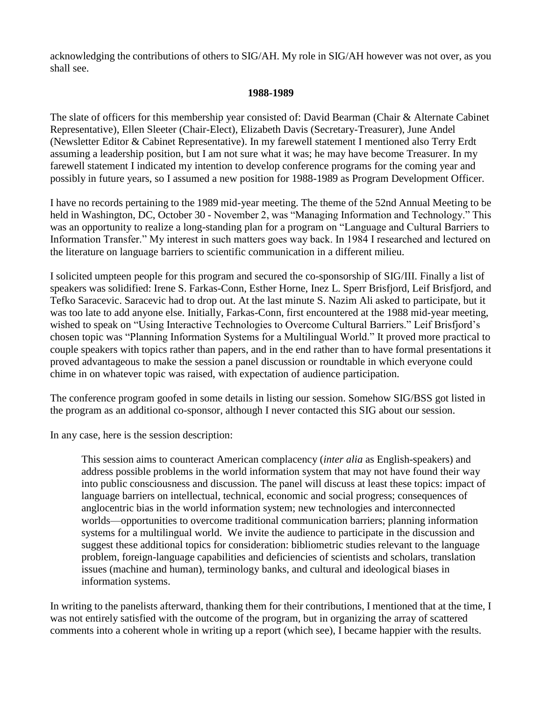acknowledging the contributions of others to SIG/AH. My role in SIG/AH however was not over, as you shall see.

### **1988-1989**

The slate of officers for this membership year consisted of: David Bearman (Chair & Alternate Cabinet Representative), Ellen Sleeter (Chair-Elect), Elizabeth Davis (Secretary-Treasurer), June Andel (Newsletter Editor & Cabinet Representative). In my farewell statement I mentioned also Terry Erdt assuming a leadership position, but I am not sure what it was; he may have become Treasurer. In my farewell statement I indicated my intention to develop conference programs for the coming year and possibly in future years, so I assumed a new position for 1988-1989 as Program Development Officer.

I have no records pertaining to the 1989 mid-year meeting. The theme of the 52nd Annual Meeting to be held in Washington, DC, October 30 - November 2, was "Managing Information and Technology." This was an opportunity to realize a long-standing plan for a program on "Language and Cultural Barriers to Information Transfer." My interest in such matters goes way back. In 1984 I researched and lectured on the literature on language barriers to scientific communication in a different milieu.

I solicited umpteen people for this program and secured the co-sponsorship of SIG/III. Finally a list of speakers was solidified: Irene S. Farkas-Conn, Esther Horne, Inez L. Sperr Brisfjord, Leif Brisfjord, and Tefko Saracevic. Saracevic had to drop out. At the last minute S. Nazim Ali asked to participate, but it was too late to add anyone else. Initially, Farkas-Conn, first encountered at the 1988 mid-year meeting, wished to speak on "Using Interactive Technologies to Overcome Cultural Barriers." Leif Brisfjord's chosen topic was "Planning Information Systems for a Multilingual World." It proved more practical to couple speakers with topics rather than papers, and in the end rather than to have formal presentations it proved advantageous to make the session a panel discussion or roundtable in which everyone could chime in on whatever topic was raised, with expectation of audience participation.

The conference program goofed in some details in listing our session. Somehow SIG/BSS got listed in the program as an additional co-sponsor, although I never contacted this SIG about our session.

In any case, here is the session description:

This session aims to counteract American complacency (*inter alia* as English-speakers) and address possible problems in the world information system that may not have found their way into public consciousness and discussion. The panel will discuss at least these topics: impact of language barriers on intellectual, technical, economic and social progress; consequences of anglocentric bias in the world information system; new technologies and interconnected worlds—opportunities to overcome traditional communication barriers; planning information systems for a multilingual world. We invite the audience to participate in the discussion and suggest these additional topics for consideration: bibliometric studies relevant to the language problem, foreign-language capabilities and deficiencies of scientists and scholars, translation issues (machine and human), terminology banks, and cultural and ideological biases in information systems.

In writing to the panelists afterward, thanking them for their contributions, I mentioned that at the time, I was not entirely satisfied with the outcome of the program, but in organizing the array of scattered comments into a coherent whole in writing up a report (which see), I became happier with the results.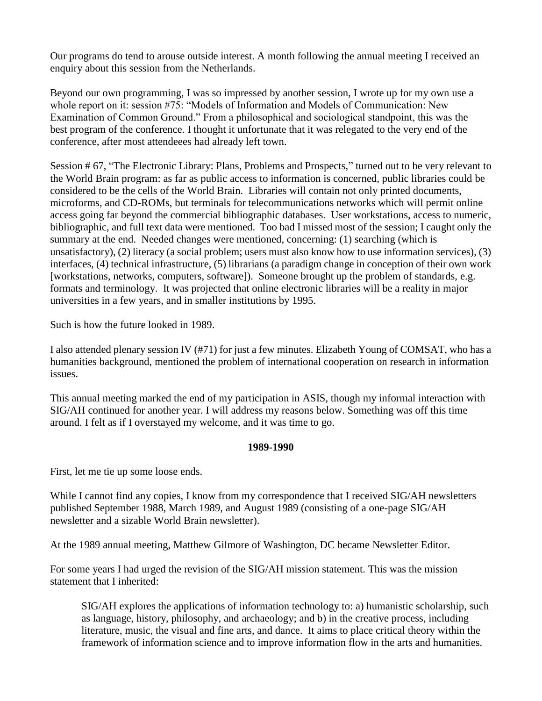Our programs do tend to arouse outside interest. A month following the annual meeting I received an enquiry about this session from the Netherlands.

Beyond our own programming, I was so impressed by another session, I wrote up for my own use a whole report on it: session #75: "Models of Information and Models of Communication: New Examination of Common Ground." From a philosophical and sociological standpoint, this was the best program of the conference. I thought it unfortunate that it was relegated to the very end of the conference, after most attendeees had already left town.

Session # 67, "The Electronic Library: Plans, Problems and Prospects," turned out to be very relevant to the World Brain program: as far as public access to information is concerned, public libraries could be considered to be the cells of the World Brain. Libraries will contain not only printed documents, microforms, and CD-ROMs, but terminals for telecommunications networks which will permit online access going far beyond the commercial bibliographic databases. User workstations, access to numeric, bibliographic, and full text data were mentioned. Too bad I missed most of the session; I caught only the summary at the end. Needed changes were mentioned, concerning: (1) searching (which is unsatisfactory), (2) literacy (a social problem; users must also know how to use information services), (3) interfaces, (4) technical infrastructure, (5) librarians (a paradigm change in conception of their own work [workstations, networks, computers, software]). Someone brought up the problem of standards, e.g. formats and terminology. It was projected that online electronic libraries will be a reality in major universities in a few years, and in smaller institutions by 1995.

Such is how the future looked in 1989.

I also attended plenary session IV (#71) for just a few minutes. Elizabeth Young of COMSAT, who has a humanities background, mentioned the problem of international cooperation on research in information issues.

This annual meeting marked the end of my participation in ASIS, though my informal interaction with SIG/AH continued for another year. I will address my reasons below. Something was off this time around. I felt as if I overstayed my welcome, and it was time to go.

## **1989-1990**

First, let me tie up some loose ends.

While I cannot find any copies, I know from my correspondence that I received SIG/AH newsletters published September 1988, March 1989, and August 1989 (consisting of a one-page SIG/AH newsletter and a sizable World Brain newsletter).

At the 1989 annual meeting, Matthew Gilmore of Washington, DC became Newsletter Editor.

For some years I had urged the revision of the SIG/AH mission statement. This was the mission statement that I inherited:

SIG/AH explores the applications of information technology to: a) humanistic scholarship, such as language, history, philosophy, and archaeology; and b) in the creative process, including literature, music, the visual and fine arts, and dance. It aims to place critical theory within the framework of information science and to improve information flow in the arts and humanities.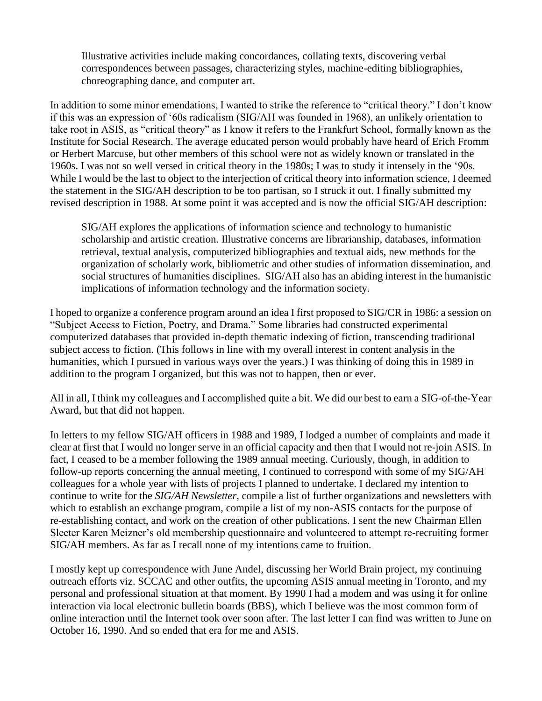Illustrative activities include making concordances, collating texts, discovering verbal correspondences between passages, characterizing styles, machine-editing bibliographies, choreographing dance, and computer art.

In addition to some minor emendations, I wanted to strike the reference to "critical theory." I don't know if this was an expression of '60s radicalism (SIG/AH was founded in 1968), an unlikely orientation to take root in ASIS, as "critical theory" as I know it refers to the Frankfurt School, formally known as the Institute for Social Research. The average educated person would probably have heard of Erich Fromm or Herbert Marcuse, but other members of this school were not as widely known or translated in the 1960s. I was not so well versed in critical theory in the 1980s; I was to study it intensely in the '90s. While I would be the last to object to the interjection of critical theory into information science, I deemed the statement in the SIG/AH description to be too partisan, so I struck it out. I finally submitted my revised description in 1988. At some point it was accepted and is now the official SIG/AH description:

SIG/AH explores the applications of information science and technology to humanistic scholarship and artistic creation. Illustrative concerns are librarianship, databases, information retrieval, textual analysis, computerized bibliographies and textual aids, new methods for the organization of scholarly work, bibliometric and other studies of information dissemination, and social structures of humanities disciplines. SIG/AH also has an abiding interest in the humanistic implications of information technology and the information society.

I hoped to organize a conference program around an idea I first proposed to SIG/CR in 1986: a session on "Subject Access to Fiction, Poetry, and Drama." Some libraries had constructed experimental computerized databases that provided in-depth thematic indexing of fiction, transcending traditional subject access to fiction. (This follows in line with my overall interest in content analysis in the humanities, which I pursued in various ways over the years.) I was thinking of doing this in 1989 in addition to the program I organized, but this was not to happen, then or ever.

All in all, I think my colleagues and I accomplished quite a bit. We did our best to earn a SIG-of-the-Year Award, but that did not happen.

In letters to my fellow SIG/AH officers in 1988 and 1989, I lodged a number of complaints and made it clear at first that I would no longer serve in an official capacity and then that I would not re-join ASIS. In fact, I ceased to be a member following the 1989 annual meeting. Curiously, though, in addition to follow-up reports concerning the annual meeting, I continued to correspond with some of my SIG/AH colleagues for a whole year with lists of projects I planned to undertake. I declared my intention to continue to write for the *SIG/AH Newsletter*, compile a list of further organizations and newsletters with which to establish an exchange program, compile a list of my non-ASIS contacts for the purpose of re-establishing contact, and work on the creation of other publications. I sent the new Chairman Ellen Sleeter Karen Meizner's old membership questionnaire and volunteered to attempt re-recruiting former SIG/AH members. As far as I recall none of my intentions came to fruition.

I mostly kept up correspondence with June Andel, discussing her World Brain project, my continuing outreach efforts viz. SCCAC and other outfits, the upcoming ASIS annual meeting in Toronto, and my personal and professional situation at that moment. By 1990 I had a modem and was using it for online interaction via local electronic bulletin boards (BBS), which I believe was the most common form of online interaction until the Internet took over soon after. The last letter I can find was written to June on October 16, 1990. And so ended that era for me and ASIS.